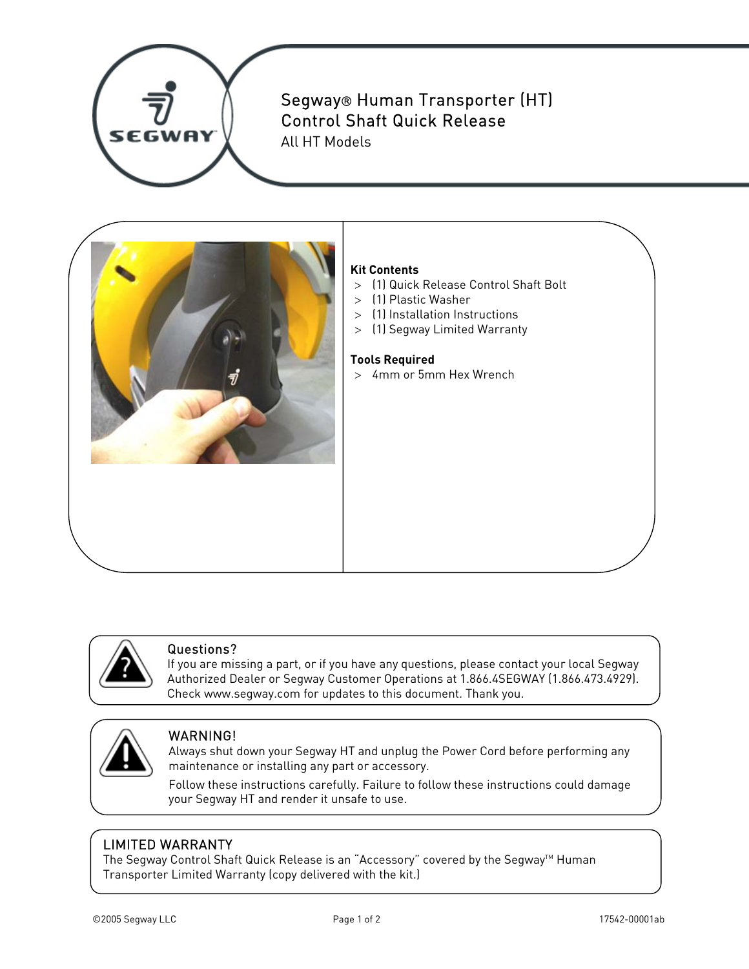

# Segway® Human Transporter (HT) Control Shaft Quick Release

All HT Models



## **Kit Contents**

- > (1) Quick Release Control Shaft Bolt
- > (1) Plastic Washer
- > (1) Installation Instructions
- > (1) Segway Limited Warranty

#### **Tools Required**

> 4mm or 5mm Hex Wrench



#### Questions?

If you are missing a part, or if you have any questions, please contact your local Segway Authorized Dealer or Segway Customer Operations at 1.866.4SEGWAY (1.866.473.4929). Check www.segway.com for updates to this document. Thank you.



### WARNING!

Always shut down your Segway HT and unplug the Power Cord before performing any maintenance or installing any part or accessory.

Follow these instructions carefully. Failure to follow these instructions could damage your Segway HT and render it unsafe to use.

### LIMITED WARRANTY

The Segway Control Shaft Quick Release is an "Accessory" covered by the Segway<sup>™</sup> Human Transporter Limited Warranty (copy delivered with the kit.)